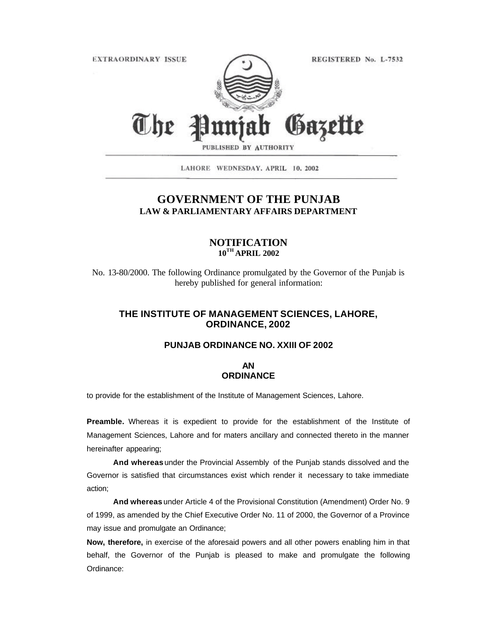**EXTRAORDINARY ISSUE** 

REGISTERED No. L-7532



PUBLISHED BY AUTHORITY

LAHORE WEDNESDAY, APRIL 10, 2002

# **GOVERNMENT OF THE PUNJAB LAW & PARLIAMENTARY AFFAIRS DEPARTMENT**

## **NOTIFICATION 10TH APRIL 2002**

No. 13-80/2000. The following Ordinance promulgated by the Governor of the Punjab is hereby published for general information:

# **THE INSTITUTE OF MANAGEMENT SCIENCES, LAHORE, ORDINANCE, 2002**

#### **PUNJAB ORDINANCE NO. XXIII OF 2002**

### **AN ORDINANCE**

to provide for the establishment of the Institute of Management Sciences, Lahore.

**Preamble.** Whereas it is expedient to provide for the establishment of the Institute of Management Sciences, Lahore and for maters ancillary and connected thereto in the manner hereinafter appearing;

**And whereas** under the Provincial Assembly of the Punjab stands dissolved and the Governor is satisfied that circumstances exist which render it necessary to take immediate action;

**And whereas** under Article 4 of the Provisional Constitution (Amendment) Order No. 9 of 1999, as amended by the Chief Executive Order No. 11 of 2000, the Governor of a Province may issue and promulgate an Ordinance;

**Now, therefore,** in exercise of the aforesaid powers and all other powers enabling him in that behalf, the Governor of the Punjab is pleased to make and promulgate the following Ordinance: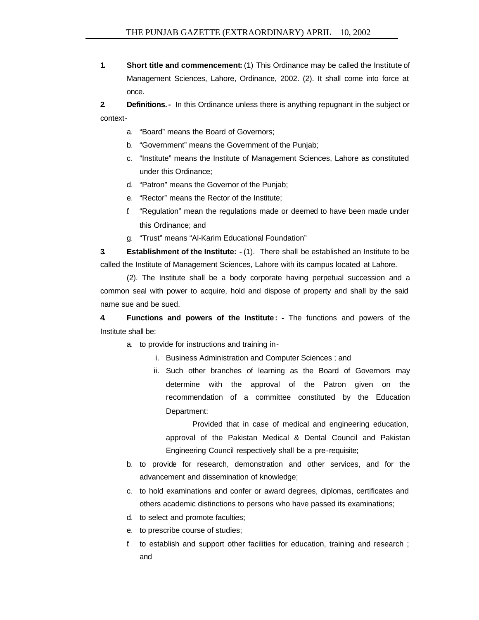**1. Short title and commencement:** (1) This Ordinance may be called the Institute of Management Sciences, Lahore, Ordinance, 2002. (2). It shall come into force at once.

**2. Definitions.-** In this Ordinance unless there is anything repugnant in the subject or context-

- a. "Board" means the Board of Governors;
- b. "Government" means the Government of the Punjab;
- c. "Institute" means the Institute of Management Sciences, Lahore as constituted under this Ordinance;
- d. "Patron" means the Governor of the Punjab;
- e. "Rector" means the Rector of the Institute;
- f. "Regulation" mean the regulations made or deemed to have been made under this Ordinance; and
- g. "Trust" means "Al-Karim Educational Foundation"

**3. Establishment of the Institute: -** (1). There shall be established an Institute to be called the Institute of Management Sciences, Lahore with its campus located at Lahore.

(2). The Institute shall be a body corporate having perpetual succession and a common seal with power to acquire, hold and dispose of property and shall by the said name sue and be sued.

**4. Functions and powers of the Institute : -** The functions and powers of the Institute shall be:

- a. to provide for instructions and training in
	- i. Business Administration and Computer Sciences ; and
	- ii. Such other branches of learning as the Board of Governors may determine with the approval of the Patron given on the recommendation of a committee constituted by the Education Department:

Provided that in case of medical and engineering education, approval of the Pakistan Medical & Dental Council and Pakistan Engineering Council respectively shall be a pre-requisite;

- b. to provide for research, demonstration and other services, and for the advancement and dissemination of knowledge;
- c. to hold examinations and confer or award degrees, diplomas, certificates and others academic distinctions to persons who have passed its examinations;
- d. to select and promote faculties;
- e. to prescribe course of studies;
- f. to establish and support other facilities for education, training and research ; and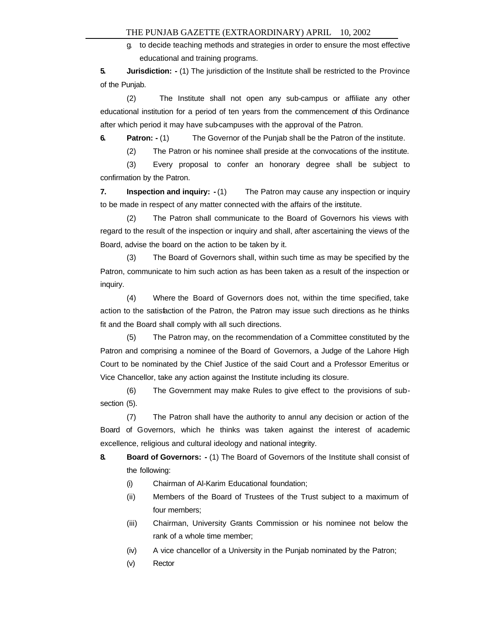g. to decide teaching methods and strategies in order to ensure the most effective educational and training programs.

**5. Jurisdiction: -** (1) The jurisdiction of the Institute shall be restricted to the Province of the Punjab.

(2) The Institute shall not open any sub-campus or affiliate any other educational institution for a period of ten years from the commencement of this Ordinance after which period it may have sub-campuses with the approval of the Patron.

**6. Patron:**  $\cdot$  (1) The Governor of the Punjab shall be the Patron of the institute.

(2) The Patron or his nominee shall preside at the convocations of the institute.

(3) Every proposal to confer an honorary degree shall be subject to confirmation by the Patron.

**7.** Inspection and inquiry:  $-(1)$  The Patron may cause any inspection or inquiry to be made in respect of any matter connected with the affairs of the institute.

(2) The Patron shall communicate to the Board of Governors his views with regard to the result of the inspection or inquiry and shall, after ascertaining the views of the Board, advise the board on the action to be taken by it.

(3) The Board of Governors shall, within such time as may be specified by the Patron, communicate to him such action as has been taken as a result of the inspection or inquiry.

(4) Where the Board of Governors does not, within the time specified, take action to the satisfaction of the Patron, the Patron may issue such directions as he thinks fit and the Board shall comply with all such directions.

(5) The Patron may, on the recommendation of a Committee constituted by the Patron and comprising a nominee of the Board of Governors, a Judge of the Lahore High Court to be nominated by the Chief Justice of the said Court and a Professor Emeritus or Vice Chancellor, take any action against the Institute including its closure.

(6) The Government may make Rules to give effect to the provisions of subsection (5).

(7) The Patron shall have the authority to annul any decision or action of the Board of Governors, which he thinks was taken against the interest of academic excellence, religious and cultural ideology and national integrity.

**8. Board of Governors: -** (1) The Board of Governors of the Institute shall consist of the following:

- (i) Chairman of Al-Karim Educational foundation;
- (ii) Members of the Board of Trustees of the Trust subject to a maximum of four members;
- (iii) Chairman, University Grants Commission or his nominee not below the rank of a whole time member;
- (iv) A vice chancellor of a University in the Punjab nominated by the Patron;
- (v) Rector